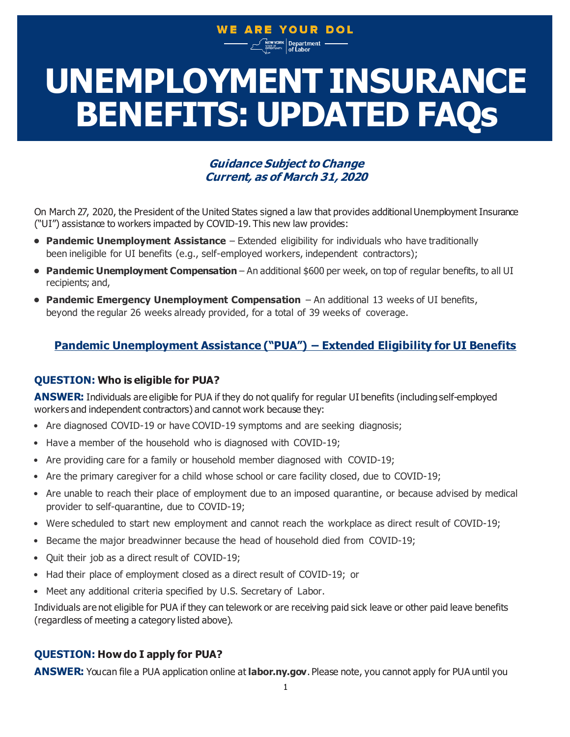# WE ARE YOUR DOL

**vyork Department -**<br><sup>REUNITY.</sup> of Labor

# **BENEFITS: UPDATED FAQs UNEMPLOYMENT INSURANCE**

## **Guidance Subject to Change Current, as of March 31, 2020**

On March 27, 2020, the President of the United States signed a law that provides additional Unemployment Insurance ("UI") assistance to workers impacted by COVID-19. This new law provides:

- **• Pandemic Unemployment Assistance**  Extended eligibility for individuals who have traditionally been ineligible for UI benefits (e.g., self-employed workers, independent contractors);
- **• Pandemic Unemployment Compensation** An additional \$600 per week, on top of regular benefits, to all UI recipients; and,
- **• Pandemic Emergency Unemployment Compensation**  An additional 13 weeks of UI benefits, beyond the regular 26 weeks already provided, for a total of 39 weeks of coverage.

## **Pandemic Unemployment Assistance ("PUA") – Extended Eligibility for UI Benefits**

## **QUESTION: Who is eligible for PUA?**

**ANSWER:** Individuals are eligible for PUA if they do not qualify for regular UI benefits (including self-employed workers and independent contractors) and cannot work because they:

- Are diagnosed COVID-19 or have COVID-19 symptoms and are seeking diagnosis;
- Have a member of the household who is diagnosed with COVID-19;
- Are providing care for a family or household member diagnosed with COVID-19;
- Are the primary caregiver for a child whose school or care facility closed, due to COVID-19;
- Are unable to reach their place of employment due to an imposed quarantine, or because advised by medical provider to self-quarantine, due to COVID-19;
- Were scheduled to start new employment and cannot reach the workplace as direct result of COVID-19;
- Became the major breadwinner because the head of household died from COVID-19;
- Quit their job as a direct result of COVID-19;
- Had their place of employment closed as a direct result of COVID-19; or
- Meet any additional criteria specified by U.S. Secretary of Labor.

Individuals are not eligible for PUA if they can telework or are receiving paid sick leave or other paid leave benefits (regardless of meeting a category listed above).

## **QUESTION: How do I apply for PUA?**

**ANSWER:** You can file a PUA application online at **[labor.ny.gov](http://labor.ny.gov/)**. Please note, you cannot apply for PUA until you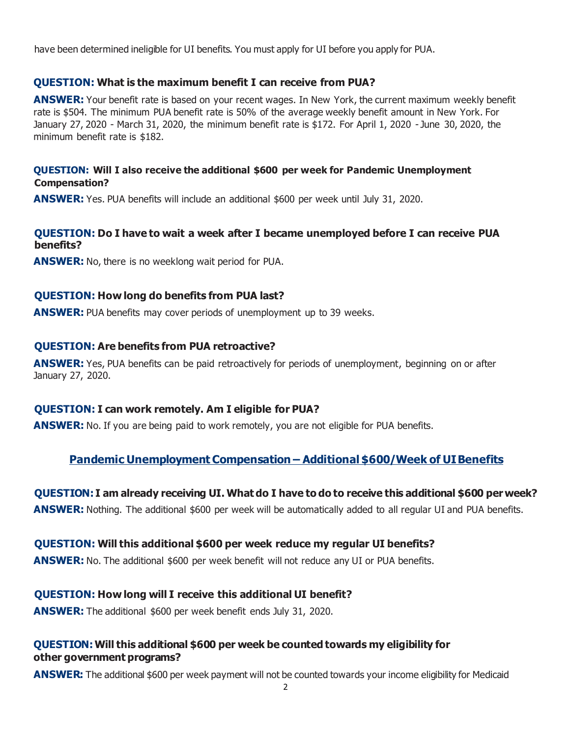have been determined ineligible for UI benefits. You must apply for UI before you apply for PUA.

#### **QUESTION: What is the maximum benefit I can receive from PUA?**

**ANSWER:** Your benefit rate is based on your recent wages. In New York, the current maximum weekly benefit rate is \$504. The minimum PUA benefit rate is 50% of the average weekly benefit amount in New York. For January 27, 2020 - March 31, 2020, the minimum benefit rate is \$172. For April 1, 2020 - June 30, 2020, the minimum benefit rate is \$182.

#### **QUESTION: Will I also receive the additional \$600 per week for Pandemic Unemployment Compensation?**

**ANSWER:** Yes. PUA benefits will include an additional \$600 per week until July 31, 2020.

## **QUESTION: Do I have to wait a week after I became unemployed before I can receive PUA benefits?**

**ANSWER:** No, there is no weeklong wait period for PUA.

#### **QUESTION: How long do benefits from PUA last?**

**ANSWER:** PUA benefits may cover periods of unemployment up to 39 weeks.

#### **QUESTION: Are benefits from PUA retroactive?**

**ANSWER:** Yes, PUA benefits can be paid retroactively for periods of unemployment, beginning on or after January 27, 2020.

## **QUESTION: I can work remotely. Am I eligible for PUA?**

**ANSWER:** No. If you are being paid to work remotely, you are not eligible for PUA benefits.

## **Pandemic Unemployment Compensation – Additional \$600/Week of UI Benefits**

#### **QUESTION: I am already receiving UI. Whatdo I have to do to receive this additional \$600 perweek?**

**ANSWER:** Nothing. The additional \$600 per week will be automatically added to all regular UI and PUA benefits.

#### **QUESTION: Will this additional \$600 per week reduce my regular UI benefits?**

**ANSWER:** No. The additional \$600 per week benefit will not reduce any UI or PUA benefits.

## **QUESTION: How long will I receive this additional UI benefit?**

**ANSWER:** The additional \$600 per week benefit ends July 31, 2020.

#### **QUESTION: Will this additional \$600 per week be counted towards my eligibility for other government programs?**

**ANSWER:** The additional \$600 per week payment will not be counted towards your income eligibility for Medicaid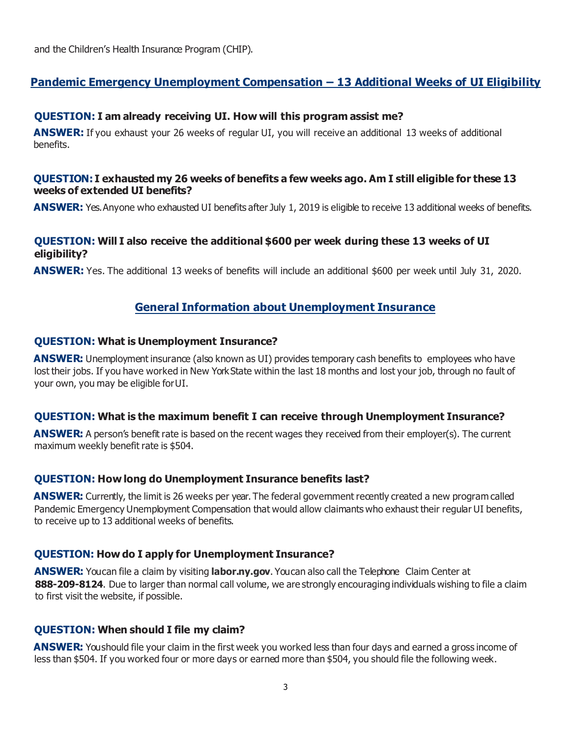and the Children's Health Insurance Program (CHIP).

## **Pandemic Emergency Unemployment Compensation – 13 Additional Weeks of UI Eligibility**

#### **QUESTION: I am already receiving UI. How will this program assist me?**

**ANSWER:** If you exhaust your 26 weeks of regular UI, you will receive an additional 13 weeks of additional benefits.

#### **QUESTION: I exhausted my 26 weeks of benefits a few weeks ago. Am I still eligible for these 13 weeks of extended UI benefits?**

**ANSWER:** Yes. Anyone who exhausted UI benefits after July 1, 2019 is eligible to receive 13 additional weeks of benefits.

#### **QUESTION: Will I also receive the additional \$600 per week during these 13 weeks of UI eligibility?**

**ANSWER:** Yes. The additional 13 weeks of benefits will include an additional \$600 per week until July 31, 2020.

## **General Information about Unemployment Insurance**

#### **QUESTION: What is Unemployment Insurance?**

**ANSWER:** Unemployment insurance (also known as UI) provides temporary cash benefits to employees who have lost their jobs. If you have worked in New York State within the last 18 months and lost your job, through no fault of your own, you may be eligible forUI.

#### **QUESTION: What is the maximum benefit I can receive through Unemployment Insurance?**

**ANSWER:** A person's benefit rate is based on the recent wages they received from their employer(s). The current maximum weekly benefit rate is \$504.

#### **QUESTION: How long do Unemployment Insurance benefits last?**

**ANSWER:** Currently, the limit is 26 weeks per year. The federal government recently created a new program called Pandemic Emergency Unemployment Compensation that would allow claimants who exhaust their regular UI benefits, to receive up to 13 additional weeks of benefits.

#### **QUESTION: How do I apply for Unemployment Insurance?**

**ANSWER:** You can file a claim by visiting **[labor.ny.gov](http://labor.ny.gov/)**. You can also call the Telephone Claim Center at **888-209-8124**. Due to larger than normal call volume, we are strongly encouraging individuals wishing to file a claim to first visit the website, if possible.

#### **QUESTION: When should I file my claim?**

**ANSWER:** You should file your claim in the first week you worked less than four days and earned a gross income of less than \$504. If you worked four or more days or earned more than \$504, you should file the following week.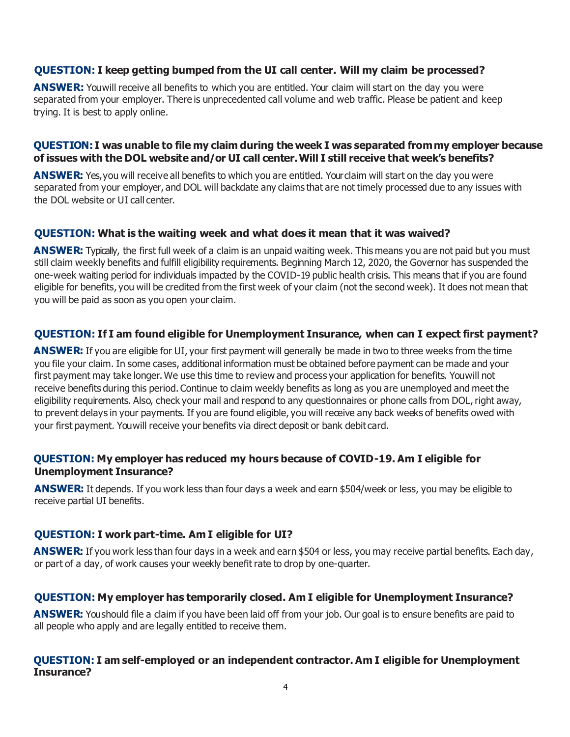## **QUESTION: I keep getting bumped from the UI call center. Will my claim be processed?**

**ANSWER:** You will receive all benefits to which you are entitled. Your claim will start on the day you were separated from your employer. There is unprecedented call volume and web traffic. Please be patient and keep trying. It is best to apply online.

#### **QUESTION: I was unable to file my claim during the week I was separated from my employer because of issues with the DOL website and/or UI call center. Will I still receive that week's benefits?**

**ANSWER:** Yes, you will receive all benefits to which you are entitled. Your claim will start on the day you were separated from your employer, and DOL will backdate any claims that are not timely processed due to any issues with the DOL website or UI call center.

#### **QUESTION: What is the waiting week and what does it mean that it was waived?**

**ANSWER:** Typically, the first full week of a claim is an unpaid waiting week. This means you are not paid but you must still claim weekly benefits and fulfill eligibility requirements. Beginning March 12, 2020, the Governor has suspended the one-week waiting period for individuals impacted by the COVID-19 public health crisis. This means that if you are found eligible for benefits, you will be credited from the first week of your claim (not the second week). It does not mean that you will be paid as soon as you open your claim.

#### **QUESTION: If I am found eligible for Unemployment Insurance, when can I expect first payment?**

**ANSWER:** If you are eligible for UI, your first payment will generally be made in two to three weeks from the time you file your claim. In some cases, additional information must be obtained before payment can be made and your first payment may take longer. We use this time to review and process your application for benefits. You will not receive benefits during this period. Continue to claim weekly benefits as long as you are unemployed and meet the eligibility requirements. Also, check your mail and respond to any questionnaires or phone calls from DOL,right away, to prevent delays in your payments. If you are found eligible, you will receive any back weeks of benefits owed with your first payment. You will receive your benefits via direct deposit or bank debit card.

#### **QUESTION: My employer has reduced my hours because of COVID-19. Am I eligible for Unemployment Insurance?**

**ANSWER:** It depends. If you work less than four days a week and earn \$504/week or less, you may be eligible to receive partial UI benefits.

#### **QUESTION: I work part-time. Am I eligible for UI?**

**ANSWER:** If you work less than four days in a week and earn \$504 or less, you may receive partial benefits. Each day, or part of a day, of work causes your weekly benefit rate to drop by one-quarter.

#### **QUESTION: My employer has temporarily closed. Am I eligible for Unemployment Insurance?**

**ANSWER:** You should file a claim if you have been laid off from your job. Our goal is to ensure benefits are paid to all people who apply and are legally entitled to receive them.

#### **QUESTION: I am self-employed or an independent contractor. Am I eligible for Unemployment Insurance?**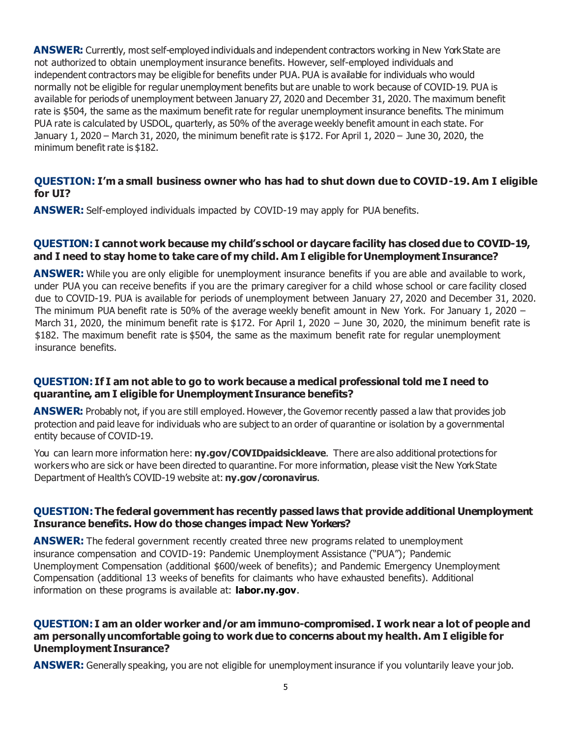**ANSWER:** Currently, most self-employed individuals and independent contractors working in New York State are not authorized to obtain unemployment insurance benefits. However, self-employed individuals and independent contractors may be eligible for benefits under PUA. PUA is available for individuals who would normally not be eligible for regular unemployment benefits but are unable to work because of COVID-19. PUA is available for periods of unemployment between January 27, 2020 and December 31, 2020. The maximum benefit rate is \$504, the same as the maximum benefit rate for regular unemployment insurance benefits. The minimum PUA rate is calculated by USDOL, quarterly, as 50% of the average weekly benefit amount in each state. For January 1, 2020 – March 31, 2020, the minimum benefit rate is \$172. For April 1, 2020 – June 30, 2020, the minimum benefit rate is \$182.

## **QUESTION: I'm a small business owner who has had to shut down due to COVID-19. Am I eligible for UI?**

**ANSWER:** Self-employed individuals impacted by COVID-19 may apply for PUA benefits.

## **QUESTION: I cannot work because my child's school or daycare facility has closed due to COVID-19, and I need to stay home to take care of my child. Am I eligible for Unemployment Insurance?**

**ANSWER:** While you are only eligible for unemployment insurance benefits if you are able and available to work, under PUA you can receive benefits if you are the primary caregiver for a child whose school or care facility closed due to COVID-19. PUA is available for periods of unemployment between January 27, 2020 and December 31, 2020. The minimum PUA benefit rate is 50% of the average weekly benefit amount in New York. For January 1, 2020 – March 31, 2020, the minimum benefit rate is \$172. For April 1, 2020 – June 30, 2020, the minimum benefit rate is \$182. The maximum benefit rate is \$504, the same as the maximum benefit rate for regular unemployment insurance benefits.

## **QUESTION: If I am not able to go to work because a medical professional told me I need to quarantine, am I eligible for Unemployment Insurance benefits?**

**ANSWER:** Probably not, if you are still employed. However, the Governor recently passed a law that provides job protection and paid leave for individuals who are subject to an order of quarantine or isolation by a governmental entity because of COVID-19.

You can learn more information here: **[ny.gov/COVIDpaidsickleave](http://ny.gov/COVIDpaidsickleave)**. There are also additional protections for workers who are sick or have been directed to quarantine. For more information, please visit the New York State Department of Health's COVID-19 website at: **[ny.gov/coronavirus](http://ny.gov/coronavirus)**.

## **QUESTION: The federal government has recently passed laws that provide additional Unemployment Insurance benefits. How do those changes impact New Yorkers?**

**ANSWER:** The federal government recently created three new programs related to unemployment insurance compensation and COVID-19: Pandemic Unemployment Assistance ("PUA"); Pandemic Unemployment Compensation (additional \$600/week of benefits); and Pandemic Emergency Unemployment Compensation (additional 13 weeks of benefits for claimants who have exhausted benefits). Additional information on these programs is available at: **[labor.ny.gov](https://www.labor.ny.gov/home/)**.

#### **QUESTION: I am an older worker and/or am immuno-compromised. I work near a lot of people and am personally uncomfortable going to work due to concerns about my health. Am I eligible for Unemployment Insurance?**

**ANSWER:** Generally speaking, you are not eligible for unemployment insurance if you voluntarily leave your job.